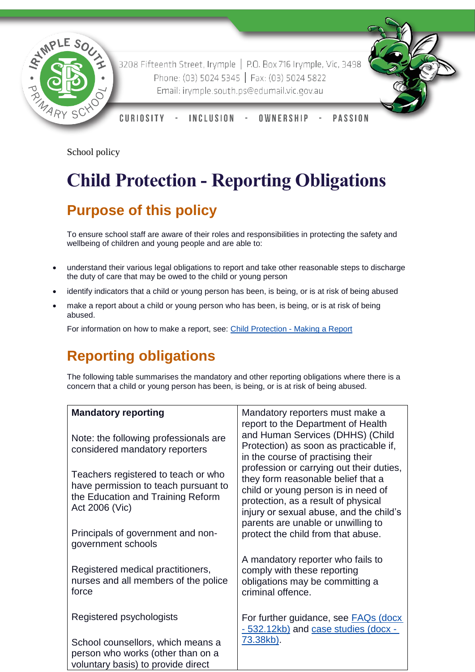

3208 Fifteenth Street, Irymple | P.O. Box 716 Irymple, Vic, 3498 Phone: (03) 5024 5345 | Fax: (03) 5024 5822 Email: irymple.south.ps@edumail.vic.gov.au



CURIOSITY **INCLUSION PASSION** OWNERSHIP

School policy

# **Child Protection - Reporting Obligations**

# **Purpose of this policy**

To ensure school staff are aware of their roles and responsibilities in protecting the safety and wellbeing of children and young people and are able to:

- understand their various legal obligations to report and take other reasonable steps to discharge the duty of care that may be owed to the child or young person
- identify indicators that a child or young person has been, is being, or is at risk of being abused
- make a report about a child or young person who has been, is being, or is at risk of being abused.

For information on how to make a report, see: [Child Protection -](https://www.education.vic.gov.au/school/principals/spag/safety/Pages/childprotectreporting.aspx) Making a Report

## **Reporting obligations**

The following table summarises the mandatory and other reporting obligations where there is a concern that a child or young person has been, is being, or is at risk of being abused.

| <b>Mandatory reporting</b>                                                                                                         | Mandatory reporters must make a<br>report to the Department of Health<br>and Human Services (DHHS) (Child<br>Protection) as soon as practicable if,<br>in the course of practising their                                                      |
|------------------------------------------------------------------------------------------------------------------------------------|-----------------------------------------------------------------------------------------------------------------------------------------------------------------------------------------------------------------------------------------------|
| Note: the following professionals are<br>considered mandatory reporters                                                            |                                                                                                                                                                                                                                               |
| Teachers registered to teach or who<br>have permission to teach pursuant to<br>the Education and Training Reform<br>Act 2006 (Vic) | profession or carrying out their duties,<br>they form reasonable belief that a<br>child or young person is in need of<br>protection, as a result of physical<br>injury or sexual abuse, and the child's<br>parents are unable or unwilling to |
| Principals of government and non-<br>government schools                                                                            | protect the child from that abuse.                                                                                                                                                                                                            |
| Registered medical practitioners,<br>nurses and all members of the police<br>force                                                 | A mandatory reporter who fails to<br>comply with these reporting<br>obligations may be committing a<br>criminal offence.                                                                                                                      |
| Registered psychologists                                                                                                           | For further guidance, see <b>FAQs</b> (docx<br>- 532.12kb) and case studies (docx -                                                                                                                                                           |
| School counsellors, which means a<br>person who works (other than on a<br>voluntary basis) to provide direct                       | 73.38kb).                                                                                                                                                                                                                                     |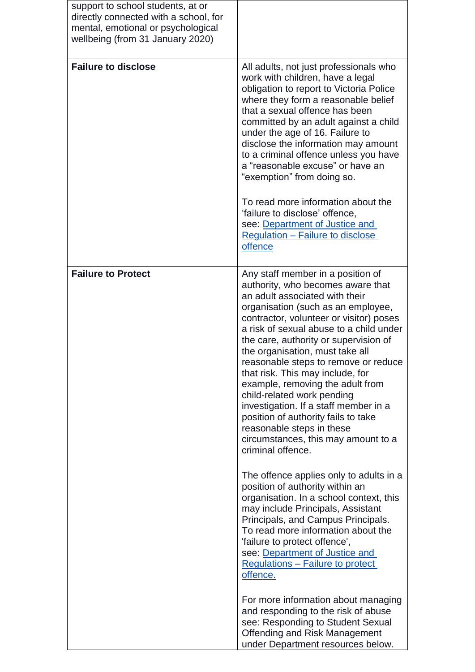| support to school students, at or<br>directly connected with a school, for<br>mental, emotional or psychological<br>wellbeing (from 31 January 2020) |                                                                                                                                                                                                                                                                                                                                                                                                                                                                                                                                                                                                                                         |
|------------------------------------------------------------------------------------------------------------------------------------------------------|-----------------------------------------------------------------------------------------------------------------------------------------------------------------------------------------------------------------------------------------------------------------------------------------------------------------------------------------------------------------------------------------------------------------------------------------------------------------------------------------------------------------------------------------------------------------------------------------------------------------------------------------|
| <b>Failure to disclose</b>                                                                                                                           | All adults, not just professionals who<br>work with children, have a legal<br>obligation to report to Victoria Police<br>where they form a reasonable belief<br>that a sexual offence has been<br>committed by an adult against a child<br>under the age of 16. Failure to<br>disclose the information may amount<br>to a criminal offence unless you have<br>a "reasonable excuse" or have an<br>"exemption" from doing so.<br>To read more information about the<br>'failure to disclose' offence,<br>see: Department of Justice and<br>Regulation – Failure to disclose<br>offence                                                   |
| <b>Failure to Protect</b>                                                                                                                            | Any staff member in a position of<br>authority, who becomes aware that<br>an adult associated with their<br>organisation (such as an employee,<br>contractor, volunteer or visitor) poses<br>a risk of sexual abuse to a child under<br>the care, authority or supervision of<br>the organisation, must take all<br>reasonable steps to remove or reduce<br>that risk. This may include, for<br>example, removing the adult from<br>child-related work pending<br>investigation. If a staff member in a<br>position of authority fails to take<br>reasonable steps in these<br>circumstances, this may amount to a<br>criminal offence. |
|                                                                                                                                                      | The offence applies only to adults in a<br>position of authority within an<br>organisation. In a school context, this<br>may include Principals, Assistant<br>Principals, and Campus Principals.<br>To read more information about the<br>'failure to protect offence',<br>see: Department of Justice and<br><b>Regulations - Failure to protect</b><br>offence.                                                                                                                                                                                                                                                                        |
|                                                                                                                                                      | For more information about managing<br>and responding to the risk of abuse<br>see: Responding to Student Sexual<br><b>Offending and Risk Management</b><br>under Department resources below.                                                                                                                                                                                                                                                                                                                                                                                                                                            |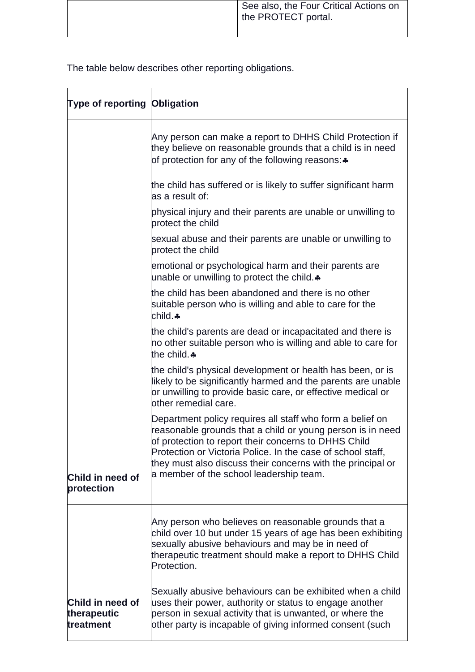The table below describes other reporting obligations.

| Type of reporting Obligation                 |                                                                                                                                                                                                                                                                                                                                                          |
|----------------------------------------------|----------------------------------------------------------------------------------------------------------------------------------------------------------------------------------------------------------------------------------------------------------------------------------------------------------------------------------------------------------|
|                                              | Any person can make a report to DHHS Child Protection if<br>they believe on reasonable grounds that a child is in need<br>of protection for any of the following reasons: *                                                                                                                                                                              |
|                                              | the child has suffered or is likely to suffer significant harm<br>as a result of:                                                                                                                                                                                                                                                                        |
|                                              | physical injury and their parents are unable or unwilling to<br>protect the child                                                                                                                                                                                                                                                                        |
|                                              | sexual abuse and their parents are unable or unwilling to<br>protect the child                                                                                                                                                                                                                                                                           |
|                                              | emotional or psychological harm and their parents are<br>unable or unwilling to protect the child.                                                                                                                                                                                                                                                       |
|                                              | the child has been abandoned and there is no other<br>suitable person who is willing and able to care for the<br>child.♣                                                                                                                                                                                                                                 |
|                                              | the child's parents are dead or incapacitated and there is<br>no other suitable person who is willing and able to care for<br>the child. *                                                                                                                                                                                                               |
|                                              | the child's physical development or health has been, or is<br>likely to be significantly harmed and the parents are unable<br>or unwilling to provide basic care, or effective medical or<br>other remedial care.                                                                                                                                        |
| Child in need of<br>protection               | Department policy requires all staff who form a belief on<br>reasonable grounds that a child or young person is in need<br>of protection to report their concerns to DHHS Child<br>Protection or Victoria Police. In the case of school staff,<br>they must also discuss their concerns with the principal or<br>a member of the school leadership team. |
|                                              | Any person who believes on reasonable grounds that a<br>child over 10 but under 15 years of age has been exhibiting<br>sexually abusive behaviours and may be in need of<br>therapeutic treatment should make a report to DHHS Child<br>Protection.                                                                                                      |
| Child in need of<br>therapeutic<br>treatment | Sexually abusive behaviours can be exhibited when a child<br>uses their power, authority or status to engage another<br>person in sexual activity that is unwanted, or where the<br>other party is incapable of giving informed consent (such                                                                                                            |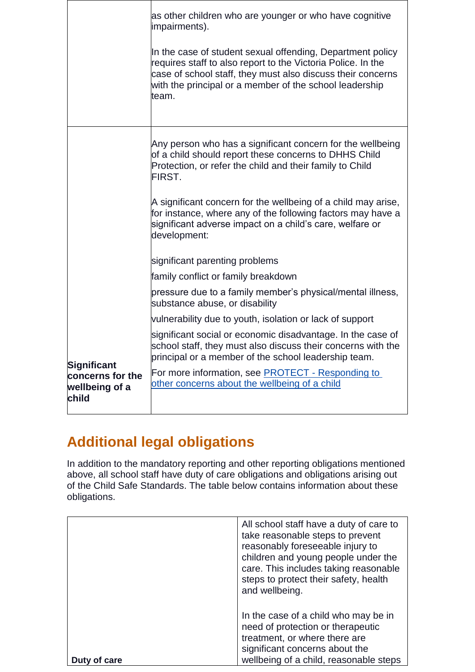|                                             | as other children who are younger or who have cognitive<br>impairments).<br>In the case of student sexual offending, Department policy<br>requires staff to also report to the Victoria Police. In the<br>case of school staff, they must also discuss their concerns<br>with the principal or a member of the school leadership<br>team. |
|---------------------------------------------|-------------------------------------------------------------------------------------------------------------------------------------------------------------------------------------------------------------------------------------------------------------------------------------------------------------------------------------------|
|                                             | Any person who has a significant concern for the wellbeing<br>of a child should report these concerns to DHHS Child<br>Protection, or refer the child and their family to Child<br>FIRST.                                                                                                                                                 |
|                                             | A significant concern for the wellbeing of a child may arise,<br>for instance, where any of the following factors may have a<br>significant adverse impact on a child's care, welfare or<br>development:                                                                                                                                  |
|                                             | significant parenting problems                                                                                                                                                                                                                                                                                                            |
|                                             | family conflict or family breakdown                                                                                                                                                                                                                                                                                                       |
|                                             | pressure due to a family member's physical/mental illness,<br>substance abuse, or disability                                                                                                                                                                                                                                              |
|                                             | vulnerability due to youth, isolation or lack of support                                                                                                                                                                                                                                                                                  |
| Significant                                 | significant social or economic disadvantage. In the case of<br>school staff, they must also discuss their concerns with the<br>principal or a member of the school leadership team.                                                                                                                                                       |
| concerns for the<br>wellbeing of a<br>child | For more information, see <b>PROTECT</b> - Responding to<br>other concerns about the wellbeing of a child                                                                                                                                                                                                                                 |

# **Additional legal obligations**

In addition to the mandatory reporting and other reporting obligations mentioned above, all school staff have duty of care obligations and obligations arising out of the Child Safe Standards. The table below contains information about these obligations.

|      | All school staff have a duty of care to<br>take reasonable steps to prevent<br>reasonably foreseeable injury to<br>children and young people under the<br>care. This includes taking reasonable<br>steps to protect their safety, health<br>and wellbeing. |
|------|------------------------------------------------------------------------------------------------------------------------------------------------------------------------------------------------------------------------------------------------------------|
| care | In the case of a child who may be in<br>need of protection or therapeutic<br>treatment, or where there are<br>significant concerns about the<br>wellbeing of a child, reasonable steps                                                                     |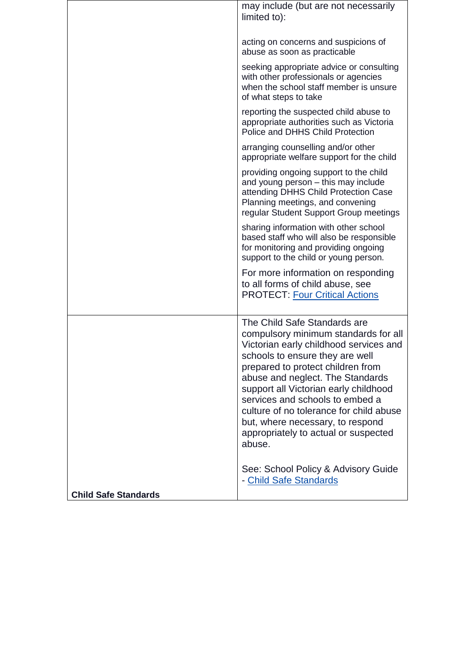|                             | may include (but are not necessarily<br>limited to):                                                                                                                                                                                                                                                                                                                                                                                    |
|-----------------------------|-----------------------------------------------------------------------------------------------------------------------------------------------------------------------------------------------------------------------------------------------------------------------------------------------------------------------------------------------------------------------------------------------------------------------------------------|
|                             | acting on concerns and suspicions of<br>abuse as soon as practicable                                                                                                                                                                                                                                                                                                                                                                    |
|                             | seeking appropriate advice or consulting<br>with other professionals or agencies<br>when the school staff member is unsure<br>of what steps to take                                                                                                                                                                                                                                                                                     |
|                             | reporting the suspected child abuse to<br>appropriate authorities such as Victoria<br>Police and DHHS Child Protection                                                                                                                                                                                                                                                                                                                  |
|                             | arranging counselling and/or other<br>appropriate welfare support for the child                                                                                                                                                                                                                                                                                                                                                         |
|                             | providing ongoing support to the child<br>and young person - this may include<br>attending DHHS Child Protection Case<br>Planning meetings, and convening<br>regular Student Support Group meetings                                                                                                                                                                                                                                     |
|                             | sharing information with other school<br>based staff who will also be responsible<br>for monitoring and providing ongoing<br>support to the child or young person.                                                                                                                                                                                                                                                                      |
|                             | For more information on responding<br>to all forms of child abuse, see<br><b>PROTECT: Four Critical Actions</b>                                                                                                                                                                                                                                                                                                                         |
|                             | The Child Safe Standards are<br>compulsory minimum standards for all<br>Victorian early childhood services and<br>schools to ensure they are well<br>prepared to protect children from<br>abuse and neglect. The Standards<br>support all Victorian early childhood<br>services and schools to embed a<br>culture of no tolerance for child abuse<br>but, where necessary, to respond<br>appropriately to actual or suspected<br>abuse. |
| <b>Child Safe Standards</b> | See: School Policy & Advisory Guide<br>- Child Safe Standards                                                                                                                                                                                                                                                                                                                                                                           |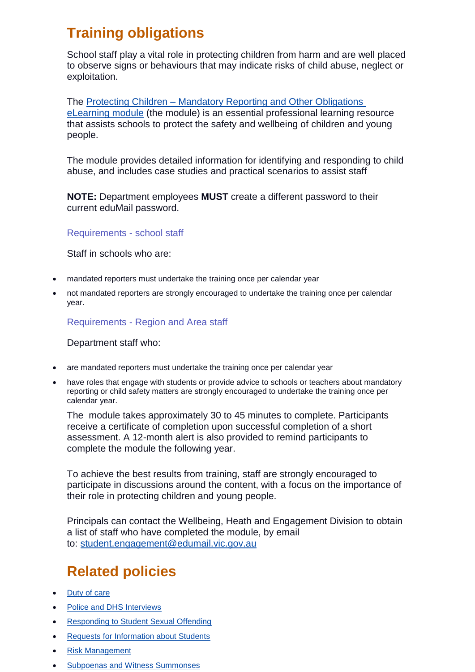## **Training obligations**

School staff play a vital role in protecting children from harm and are well placed to observe signs or behaviours that may indicate risks of child abuse, neglect or exploitation.

The Protecting Children – [Mandatory Reporting and Other Obligations](http://www.elearn.com.au/det/protectingchildren/schools/)  [eLearning module](http://www.elearn.com.au/det/protectingchildren/schools/) (the module) is an essential professional learning resource that assists schools to protect the safety and wellbeing of children and young people.

The module provides detailed information for identifying and responding to child abuse, and includes case studies and practical scenarios to assist staff

**NOTE:** Department employees **MUST** create a different password to their current eduMail password.

Requirements - school staff

Staff in schools who are:

- mandated reporters must undertake the training once per calendar year
- not mandated reporters are strongly encouraged to undertake the training once per calendar year.

Requirements - Region and Area staff

Department staff who:

- are mandated reporters must undertake the training once per calendar year
- have roles that engage with students or provide advice to schools or teachers about mandatory reporting or child safety matters are strongly encouraged to undertake the training once per calendar year.

The module takes approximately 30 to 45 minutes to complete. Participants receive a certificate of completion upon successful completion of a short assessment. A 12-month alert is also provided to remind participants to complete the module the following year.

To achieve the best results from training, staff are strongly encouraged to participate in discussions around the content, with a focus on the importance of their role in protecting children and young people.

Principals can contact the Wellbeing, Heath and Engagement Division to obtain a list of staff who have completed the module, by email to: [student.engagement@edumail.vic.gov.au](mailto:student.engagement@edumail.vic.gov.au)

## **Related policies**

- [Duty of care](https://www.education.vic.gov.au/school/principals/spag/safety/Pages/dutyofcare.aspx)
- [Police and DHS Interviews](https://www.education.vic.gov.au/school/principals/spag/safety/Pages/interviews.aspx)
- [Responding to Student Sexual Offending](https://www.education.vic.gov.au/school/principals/spag/safety/Pages/sexualassault.aspx)
- [Requests for Information about Students](https://www.education.vic.gov.au/school/principals/spag/safety/Pages/requestinfo.aspx)
- [Risk Management](https://www.education.vic.gov.au/school/principals/spag/governance/Pages/risk.aspx)
- [Subpoenas and Witness Summonses](https://www.education.vic.gov.au/school/principals/spag/governance/Pages/subpoenas.aspx)